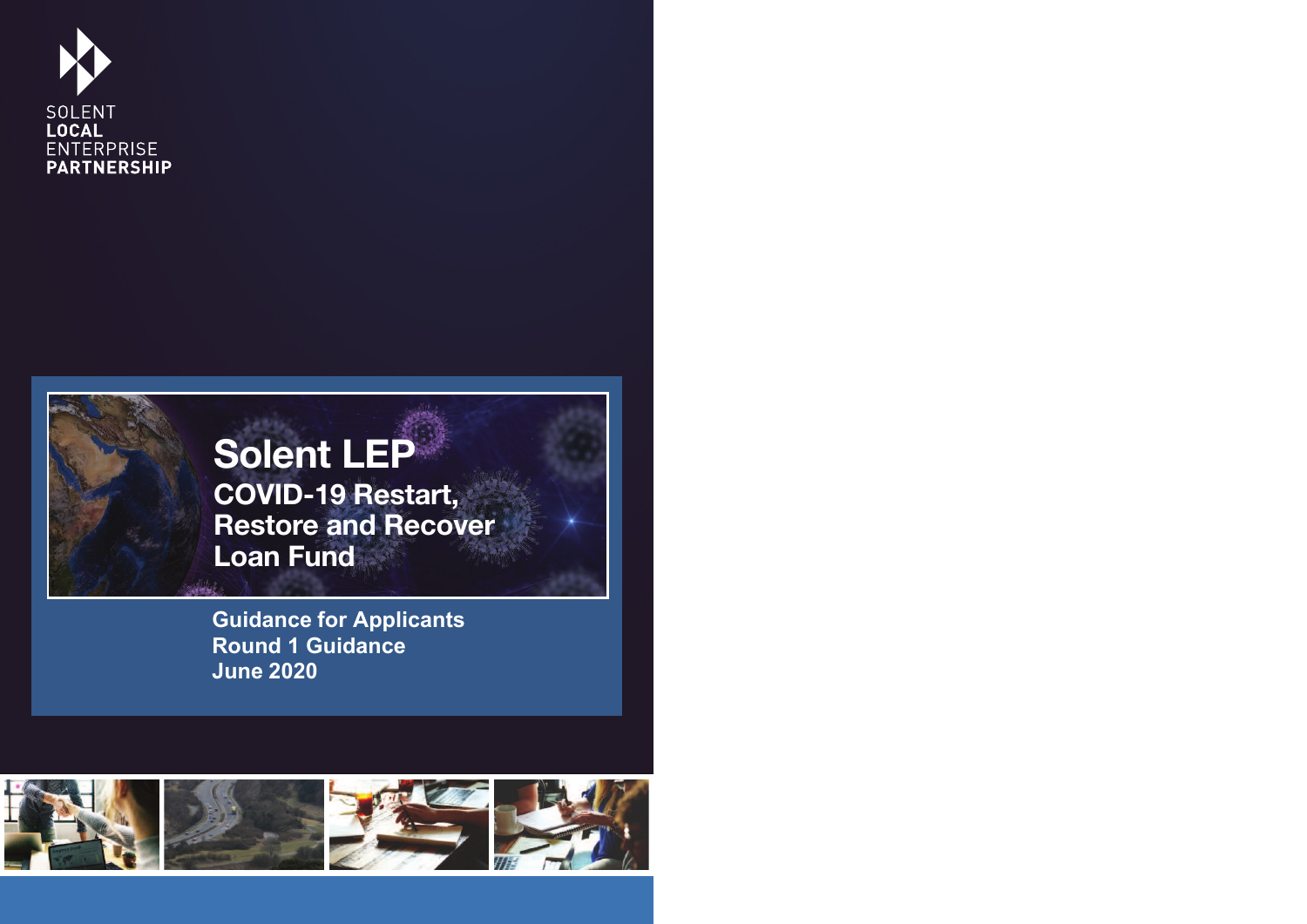



**Guidance for Applicants Round 1 Guidance June 2020**

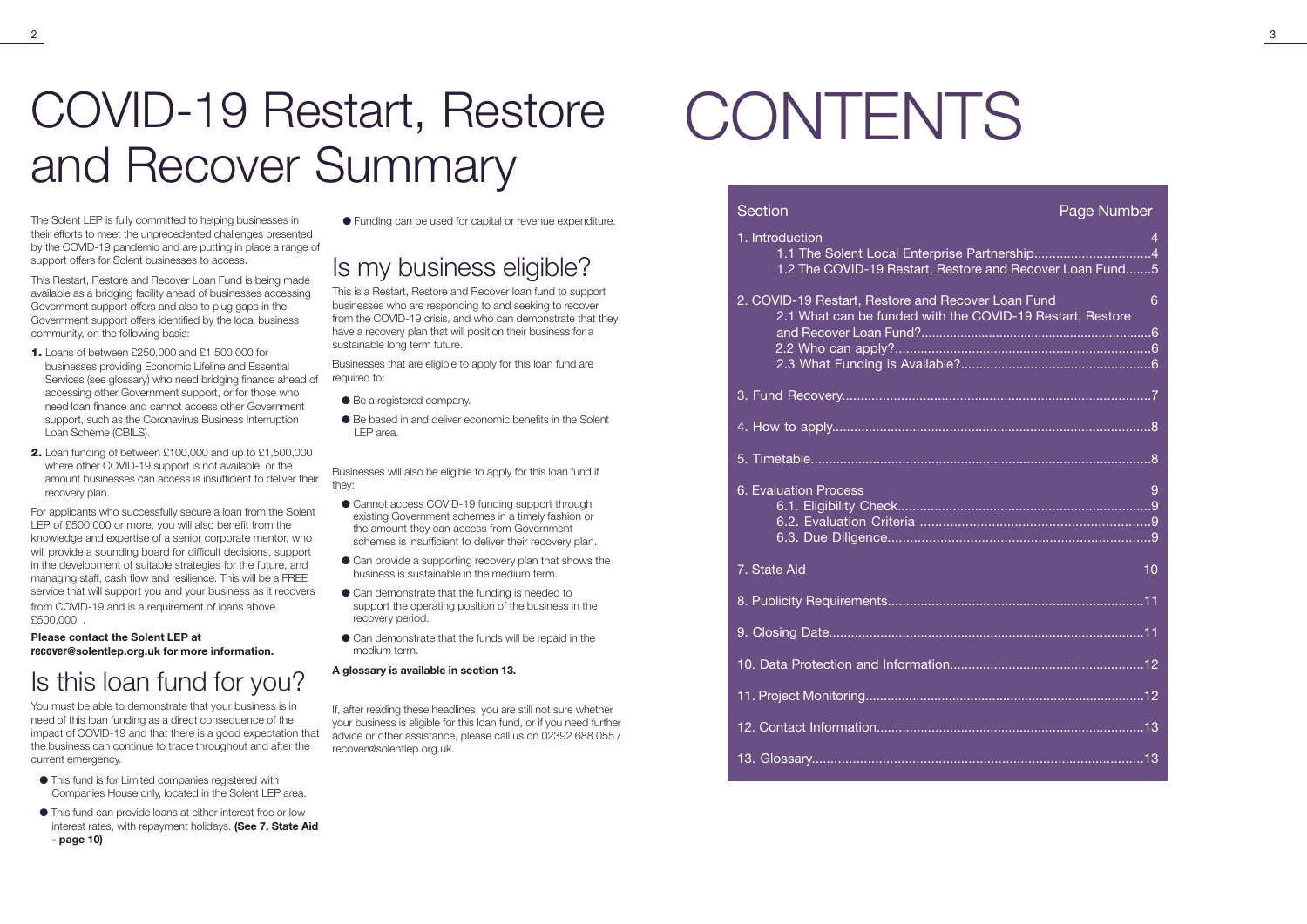## COVID-19 Restart, Restore CONTENTS and Recover Summary

The Solent LEP is fully committed to helping businesses in  $\bullet$  Funding can be used for capital or revenue expenditure. their efforts to meet the unprecedented challenges presented by the COVID-19 pandemic and are putting in place a range of support offers for Solent businesses to access.

This Restart, Restore and Recover Loan Fund is being made available as a bridging facility ahead of businesses accessing Government support offers and also to plug gaps in the Government support offers identified by the local business community, on the following basis:

- **1.** Loans of between £250,000 and £1,500,000 for businesses providing Economic Lifeline and Essential Services (see glossary) who need bridging finance ahead of accessing other Government support, or for those who need loan finance and cannot access other Government support, such as the Coronavirus Business Interruption Loan Scheme (CBILS).
- **2.** Loan funding of between £100,000 and up to £1,500,000 where other COVID-19 support is not available, or the amount businesses can access is insufficient to deliver their recovery plan.

- **This fund is for Limited companies registered with** Companies House only, located in the Solent LEP area.
- l This fund can provide loans at either interest free or low interest rates, with repayment holidays. **(See 7. State Aid - page 10)**

For applicants who successfully secure a loan from the Solent LEP of £500,000 or more, you will also benefit from the knowledge and expertise of a senior corporate mentor, who will provide a sounding board for difficult decisions, support in the development of suitable strategies for the future, and managing staff, cash flow and resilience. This will be a FREE service that will support you and your business as it recovers from COVID-19 and is a requirement of loans above

- Be a registered company.
- l Be based in and deliver economic benefits in the Solent LEP area.

£500,000 . **Please contact the Solent LEP at**

- Cannot access COVID-19 funding support through existing Government schemes in a timely fashion or the amount they can access from Government schemes is insufficient to deliver their recovery plan.
- Can provide a supporting recovery plan that shows the business is sustainable in the medium term.
- Can demonstrate that the funding is needed to support the operating position of the business in the recovery period.
- Can demonstrate that the funds will be repaid in the medium term.

recover**@solentlep.org.uk for more information.**

### Is this loan fund for you?

You must be able to demonstrate that your business is in need of this loan funding as a direct consequence of the impact of COVID-19 and that there is a good expectation that the business can continue to trade throughout and after the current emergency.

l Funding can be used for capital or revenue expenditure.

### Is my business eligible?

This is a Restart, Restore and Recover loan fund to support businesses who are responding to and seeking to recover from the COVID-19 crisis, and who can demonstrate that they have a recovery plan that will position their business for a sustainable long term future.

Businesses that are eligible to apply for this loan fund are required to:

- 1. Introduction
	- 1.1 The Solent Local Enterprise Part
	- 1.2 The COVID-19 Restart, Restore and Recover 2
- 2. COVID-19 Restart, Restore and Recover 2.1 What can be funded with the CC and Recover Loan Fund?.................. 2.2 Who can apply?......................................................................6 2.3 What Funding is Available?........
- 3. Fund Recovery....................................................................................7
- 4. How to apply.......................................................................................8
- 5. Timetable.............................................................................................8
- 6. Evaluation Process 9
	- 6.1. Eligibility Check.....................................................................9
	- 6.2. Evaluation Criteria ..................
	- 6.3. Due Diligence......................................................................9
- 7. State Aid
- 8. Publicity Requirements......................................................................11
- 9. Closing Date......................................................................................11
- 10. Data Protection and Information..........
- 11. Project Monitoring.............................................................................12
- 12. Contact Information.........................................................................13
- 13. Glossary.........................................................................................13



|                                | 4  |
|--------------------------------|----|
|                                | 4  |
| and Recover Loan Fund5         |    |
|                                |    |
| Loan Fund                      | 6  |
|                                |    |
| <b>VID-19 Restart, Restore</b> |    |
|                                | .6 |
|                                |    |
|                                |    |
|                                |    |
|                                |    |
|                                |    |
|                                |    |
|                                |    |
|                                |    |
|                                |    |
|                                |    |
|                                | 9  |
|                                |    |
|                                |    |
|                                |    |
|                                |    |
|                                |    |
|                                | 10 |
|                                |    |
|                                |    |
|                                |    |
|                                |    |
|                                |    |
|                                |    |
|                                |    |
|                                |    |
|                                |    |
|                                |    |
|                                |    |
|                                |    |
|                                |    |
|                                |    |

Businesses will also be eligible to apply for this loan fund if they:

### **A glossary is available in section 13.**

If, after reading these headlines, you are still not sure whether your business is eligible for this loan fund, or if you need further advice or other assistance, please call us on 02392 688 055 / recover@solentlep.org.uk.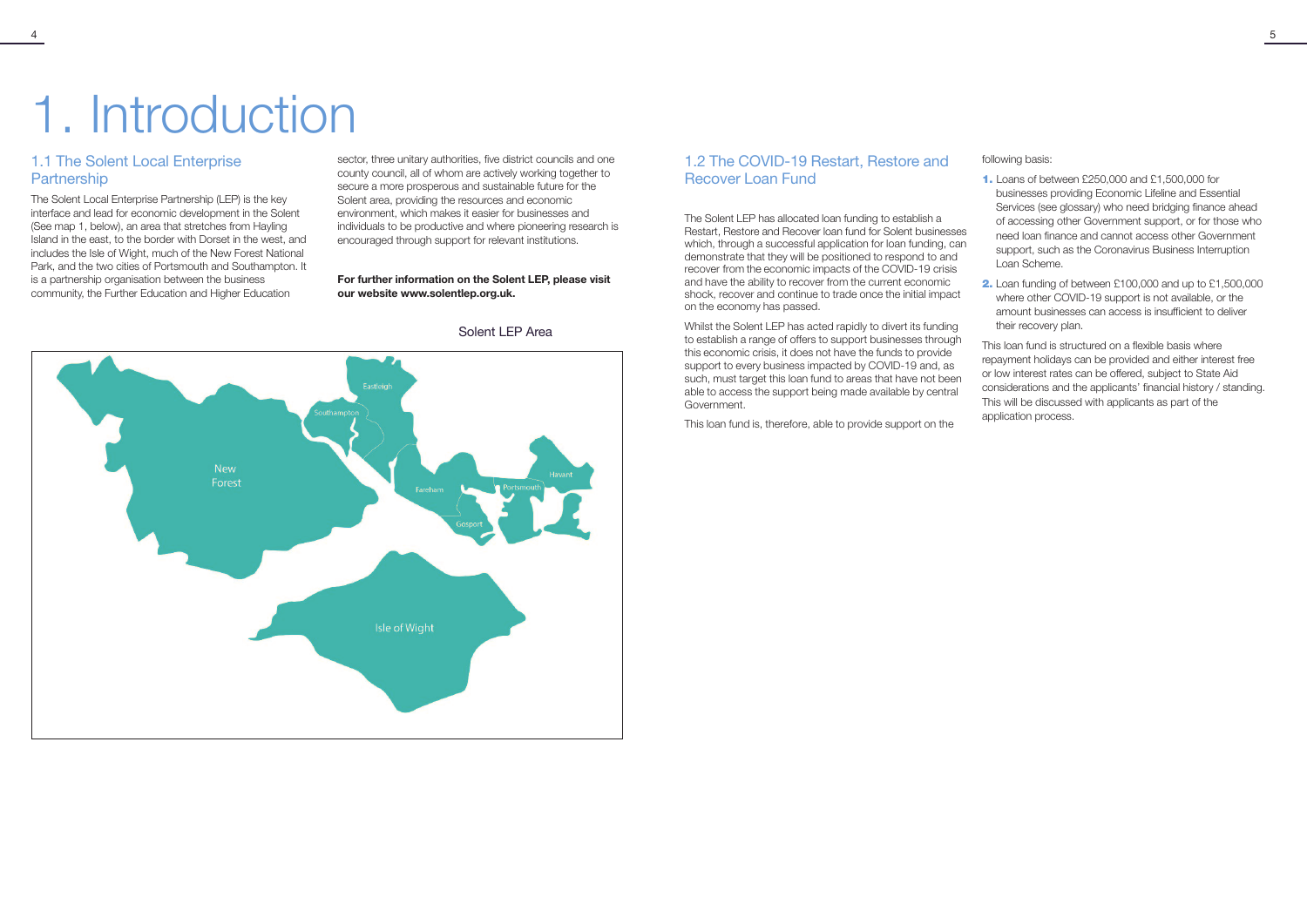### 1.1 The Solent Local Enterprise **Partnership**

# 1. Introduction

The Solent Local Enterprise Partnership (LEP) is the key interface and lead for economic development in the Solent (See map 1, below), an area that stretches from Hayling Island in the east, to the border with Dorset in the west, and includes the Isle of Wight, much of the New Forest National Park, and the two cities of Portsmouth and Southampton. It is a partnership organisation between the business community, the Further Education and Higher Education

### 1.2 The COVID-19 Restart, Restore and Recover Loan Fund

sector, three unitary authorities, five district councils and one county council, all of whom are actively working together to secure a more prosperous and sustainable future for the Solent area, providing the resources and economic environment, which makes it easier for businesses and individuals to be productive and where pioneering research is encouraged through support for relevant institutions.

### **For further information on the Solent LEP, please visit our website www.solentlep.org.uk.**





The Solent LEP has allocated loan funding to establish a Restart, Restore and Recover loan fund for Solent businesses which, through a successful application for loan funding, can demonstrate that they will be positioned to respond to and recover from the economic impacts of the COVID-19 crisis and have the ability to recover from the current economic shock, recover and continue to trade once the initial impact on the economy has passed.

Whilst the Solent LEP has acted rapidly to divert its funding to establish a range of offers to support businesses through this economic crisis, it does not have the funds to provide support to every business impacted by COVID-19 and, as such, must target this loan fund to areas that have not been able to access the support being made available by central Government.

This loan fund is, therefore, able to provide support on the

following basis:

- **1.** Loans of between £250,000 and £1,500,000 for businesses providing Economic Lifeline and Essential Services (see glossary) who need bridging finance ahead of accessing other Government support, or for those who need loan finance and cannot access other Government support, such as the Coronavirus Business Interruption Loan Scheme.
- **2.** Loan funding of between £100,000 and up to £1,500,000 where other COVID-19 support is not available, or the amount businesses can access is insufficient to deliver their recovery plan.

This loan fund is structured on a flexible basis where repayment holidays can be provided and either interest free or low interest rates can be offered, subject to State Aid considerations and the applicants' financial history / standing. This will be discussed with applicants as part of the application process.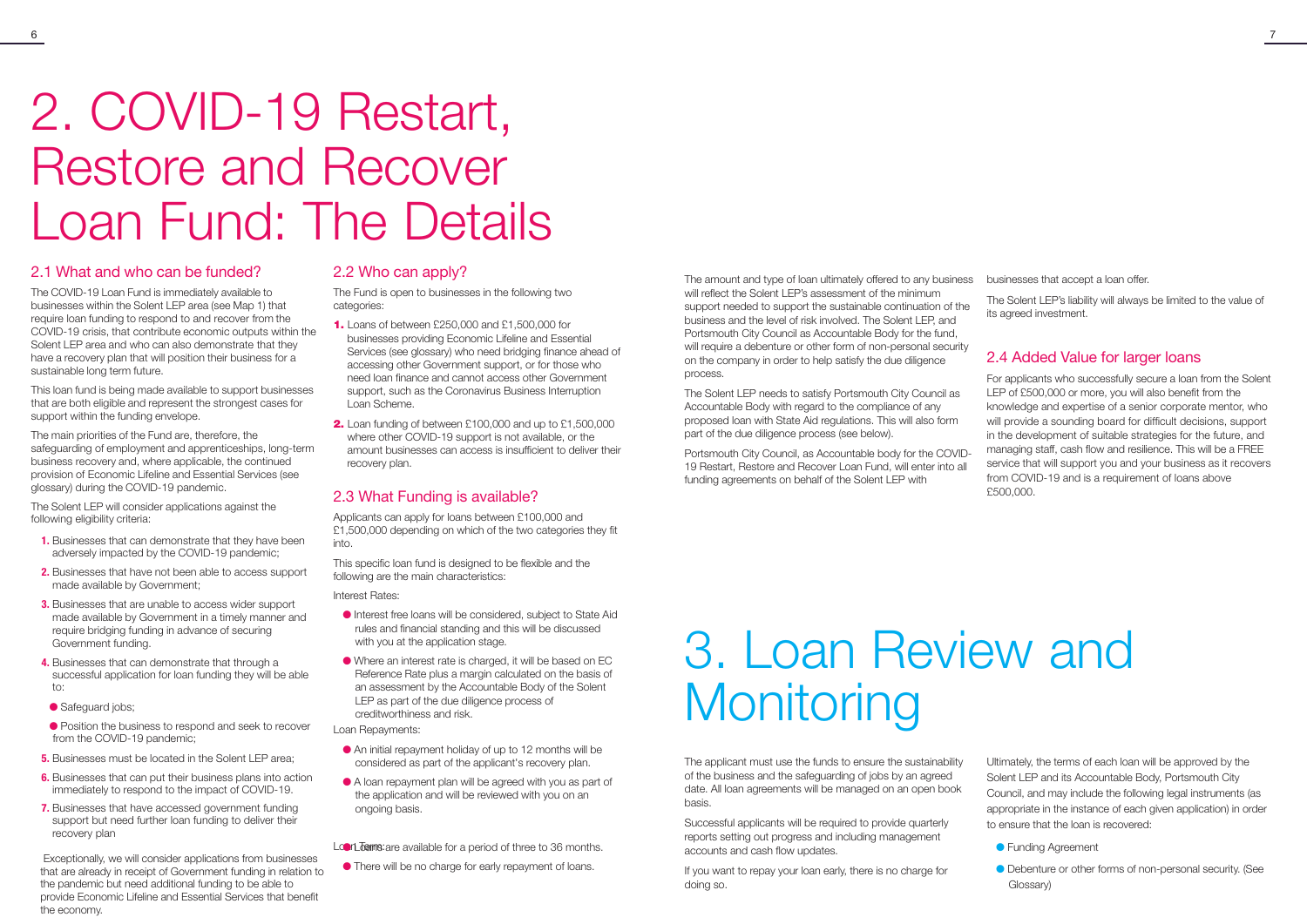## 2. COVID-19 Restart, Restore and Recover Loan Fund: The Details

### 2.1 What and who can be funded?

The COVID-19 Loan Fund is immediately available to businesses within the Solent LEP area (see Map 1) that require loan funding to respond to and recover from the COVID-19 crisis, that contribute economic outputs within the Solent LEP area and who can also demonstrate that they have a recovery plan that will position their business for a sustainable long term future.

This loan fund is being made available to support businesses that are both eligible and represent the strongest cases for support within the funding envelope.

The main priorities of the Fund are, therefore, the safeguarding of employment and apprenticeships, long-term business recovery and, where applicable, the continued provision of Economic Lifeline and Essential Services (see glossary) during the COVID-19 pandemic.

- **1.** Businesses that can demonstrate that they have been adversely impacted by the COVID-19 pandemic;
- 2. Businesses that have not been able to access support made available by Government;
- **3.** Businesses that are unable to access wider support made available by Government in a timely manner and require bridging funding in advance of securing Government funding.
- 4. Businesses that can demonstrate that through a successful application for loan funding they will be able to:
- Safequard jobs;
- Position the business to respond and seek to recover from the COVID-19 pandemic;
- **5.** Businesses must be located in the Solent LEP area:
- 6. Businesses that can put their business plans into action immediately to respond to the impact of COVID-19.
- 7. Businesses that have accessed government funding support but need further loan funding to deliver their recovery plan

The Solent LEP will consider applications against the following eligibility criteria:

Exceptionally, we will consider applications from businesses that are already in receipt of Government funding in relation to the pandemic but need additional funding to be able to provide Economic Lifeline and Essential Services that benefit the economy.

### 2.2 Who can apply?

The Fund is open to businesses in the following two categories:

- **1.** Loans of between £250,000 and £1,500,000 for businesses providing Economic Lifeline and Essential Services (see glossary) who need bridging finance ahead of accessing other Government support, or for those who need loan finance and cannot access other Government support, such as the Coronavirus Business Interruption Loan Scheme.
- **2.** Loan funding of between £100,000 and up to £1,500,000 where other COVID-19 support is not available, or the amount businesses can access is insufficient to deliver their recovery plan.

### 2.3 What Funding is available?

Applicants can apply for loans between £100,000 and £1,500,000 depending on which of the two categories they fit into.

This specific loan fund is designed to be flexible and the following are the main characteristics:

- **Funding Agreement**
- l Debenture or other forms of non-personal security. (See Glossary)

## 3. Loan Review and **Monitoring**

Interest Rates:

- l Interest free loans will be considered, subject to State Aid rules and financial standing and this will be discussed with you at the application stage.
- l Where an interest rate is charged, it will be based on EC Reference Rate plus a margin calculated on the basis of an assessment by the Accountable Body of the Solent LEP as part of the due diligence process of creditworthiness and risk.

Loan Repayments:

- l An initial repayment holiday of up to 12 months will be considered as part of the applicant's recovery plan.
- l A loan repayment plan will be agreed with you as part of the application and will be reviewed with you on an ongoing basis.
- Lon Louis are available for a period of three to 36 months.
- l There will be no charge for early repayment of loans.

The amount and type of loan ultimately offered to any business will reflect the Solent LEP's assessment of the minimum support needed to support the sustainable continuation of the business and the level of risk involved. The Solent LEP, and Portsmouth City Council as Accountable Body for the fund, will require a debenture or other form of non-personal security on the company in order to help satisfy the due diligence process. businesses that accept a loan offer. The Solent LEP's liability will always be limited to the value of its agreed investment. 2.4 Added Value for larger loans

The Solent LEP needs to satisfy Portsmouth City Council as Accountable Body with regard to the compliance of any proposed loan with State Aid regulations. This will also form part of the due diligence process (see below).

Portsmouth City Council, as Accountable body for the COVID-19 Restart, Restore and Recover Loan Fund, will enter into all funding agreements on behalf of the Solent LEP with

For applicants who successfully secure a loan from the Solent LEP of £500,000 or more, you will also benefit from the knowledge and expertise of a senior corporate mentor, who will provide a sounding board for difficult decisions, support in the development of suitable strategies for the future, and managing staff, cash flow and resilience. This will be a FREE service that will support you and your business as it recovers from COVID-19 and is a requirement of loans above £500,000.

The applicant must use the funds to ensure the sustainability of the business and the safeguarding of jobs by an agreed date. All loan agreements will be managed on an open book basis.

Successful applicants will be required to provide quarterly reports setting out progress and including management accounts and cash flow updates.

If you want to repay your loan early, there is no charge for doing so.

Ultimately, the terms of each loan will be approved by the Solent LEP and its Accountable Body, Portsmouth City Council, and may include the following legal instruments (as appropriate in the instance of each given application) in order to ensure that the loan is recovered: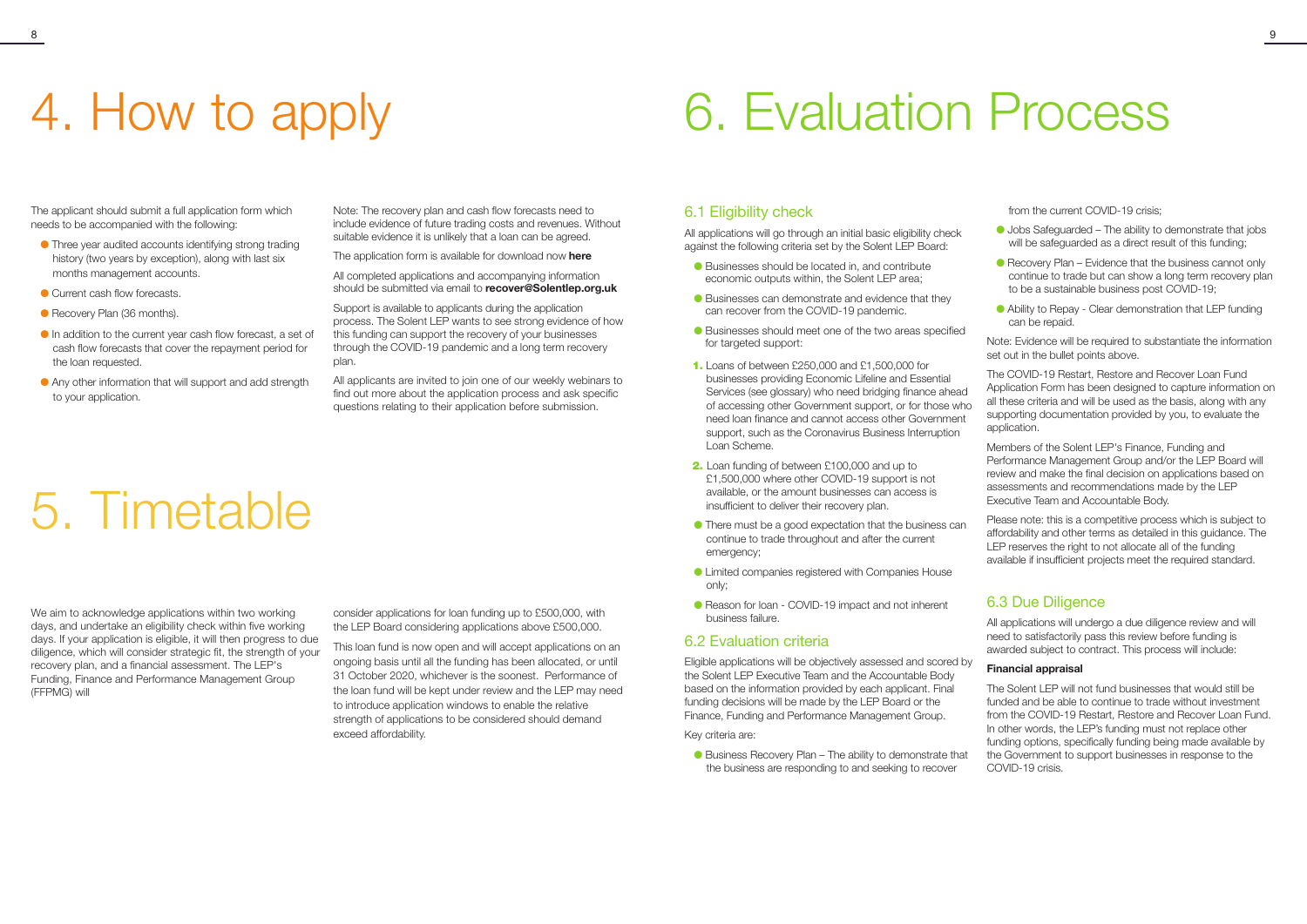## 4. How to apply 6. Evaluation Process

The applicant should submit a full application form which needs to be accompanied with the following:

- l Three year audited accounts identifying strong trading history (two years by exception), along with last six months management accounts.
- **Current cash flow forecasts.**
- Recovery Plan (36 months).
- $\bullet$  In addition to the current year cash flow forecast, a set of cash flow forecasts that cover the repayment period for the loan requested.
- l Any other information that will support and add strength to your application.

## 5. Timetable

We aim to acknowledge applications within two working days, and undertake an eligibility check within five working days. If your application is eligible, it will then progress to due diligence, which will consider strategic fit, the strength of your recovery plan, and a financial assessment. The LEP's Funding, Finance and Performance Management Group (FFPMG) will

Note: The recovery plan and cash flow forecasts need to include evidence of future trading costs and revenues. Without suitable evidence it is unlikely that a loan can be agreed.

The application form is available for download now **[here](https://www.solentlep.org.uk/restart-restore-recover-loan/)**

All completed applications and accompanying information should be submitted via email to **recover@Solentlep.org.uk**

Support is available to applicants during the application process. The Solent LEP wants to see strong evidence of how this funding can support the recovery of your businesses through the COVID-19 pandemic and a long term recovery plan.

All applicants are invited to join one of our weekly webinars to find out more about the application process and ask specific questions relating to their application before submission.

- Businesses should be located in, and contribute economic outputs within, the Solent LEP area;
- Businesses can demonstrate and evidence that they can recover from the COVID-19 pandemic.
- l Businesses should meet one of the two areas specified for targeted support:
- **1.** Loans of between £250,000 and £1,500,000 for businesses providing Economic Lifeline and Essential Services (see glossary) who need bridging finance ahead of accessing other Government support, or for those who need loan finance and cannot access other Government support, such as the Coronavirus Business Interruption Loan Scheme.
- **2.** Loan funding of between £100,000 and up to £1,500,000 where other COVID-19 support is not available, or the amount businesses can access is insufficient to deliver their recovery plan.
- l There must be a good expectation that the business can continue to trade throughout and after the current emergency;
- l Limited companies registered with Companies House only;
- Reason for loan COVID-19 impact and not inherent business failure.

consider applications for loan funding up to £500,000, with the LEP Board considering applications above £500,000.

This loan fund is now open and will accept applications on an ongoing basis until all the funding has been allocated, or until 31 October 2020, whichever is the soonest. Performance of the loan fund will be kept under review and the LEP may need to introduce application windows to enable the relative strength of applications to be considered should demand exceed affordability.

- $\bullet$  Jobs Safeguarded The ability to demonstrate that jobs will be safeguarded as a direct result of this funding:
- $\bullet$  Recovery Plan Evidence that the business cannot only continue to trade but can show a long term recovery plan to be a sustainable business post COVID-19;
- l Ability to Repay Clear demonstration that LEP funding can be repaid.

### 6.1 Eligibility check

All applications will go through an initial basic eligibility check against the following criteria set by the Solent LEP Board:

### 6.2 Evaluation criteria

Eligible applications will be objectively assessed and scored by the Solent LEP Executive Team and the Accountable Body based on the information provided by each applicant. Final funding decisions will be made by the LEP Board or the Finance, Funding and Performance Management Group.

### Key criteria are:

l Business Recovery Plan – The ability to demonstrate that the business are responding to and seeking to recover

from the current COVID-19 crisis;

Note: Evidence will be required to substantiate the information set out in the bullet points above.

The COVID-19 Restart, Restore and Recover Loan Fund Application Form has been designed to capture information on all these criteria and will be used as the basis, along with any supporting documentation provided by you, to evaluate the application.

Members of the Solent LEP's Finance, Funding and Performance Management Group and/or the LEP Board will review and make the final decision on applications based on assessments and recommendations made by the LEP Executive Team and Accountable Body.

Please note: this is a competitive process which is subject to affordability and other terms as detailed in this guidance. The LEP reserves the right to not allocate all of the funding available if insufficient projects meet the required standard.

### 6.3 Due Diligence

All applications will undergo a due diligence review and will need to satisfactorily pass this review before funding is awarded subject to contract. This process will include:

### **Financial appraisal**

The Solent LEP will not fund businesses that would still be funded and be able to continue to trade without investment from the COVID-19 Restart, Restore and Recover Loan Fund. In other words, the LEP's funding must not replace other funding options, specifically funding being made available by the Government to support businesses in response to the COVID-19 crisis.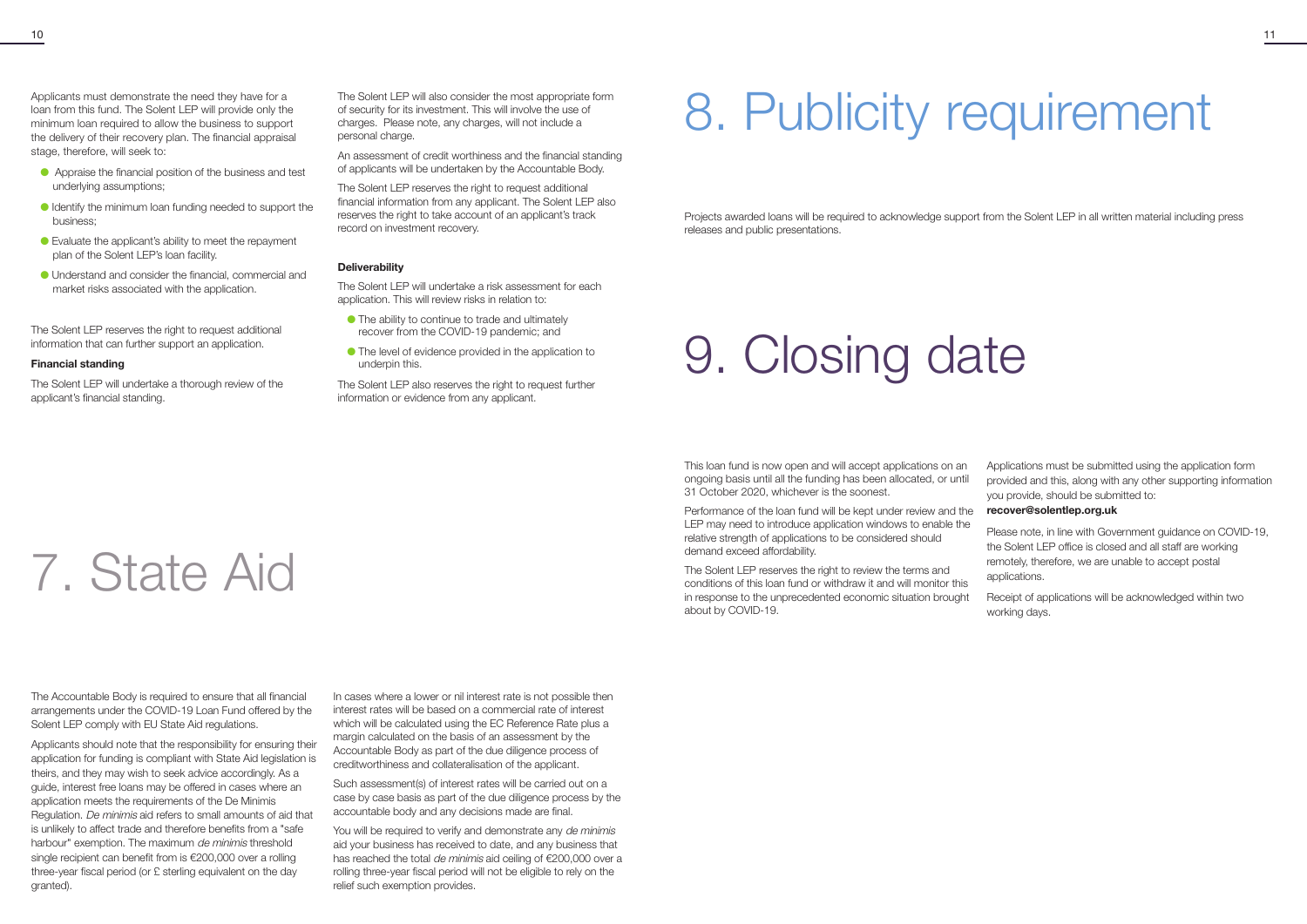## 8. Publicity requirement

## 9. Closing date

Projects awarded loans will be required to acknowledge support from the Solent LEP in all written material including press releases and public presentations.

Performance of the loan fund will be kept under review and the LEP may need to introduce application windows to enable the relative strength of applications to be considered should demand exceed affordability.

This loan fund is now open and will accept applications on an ongoing basis until all the funding has been allocated, or until 31 October 2020, whichever is the soonest. Applications must be submitted using the application form provided and this, along with any other supporting information you provide, should be submitted to:

The Solent LEP reserves the right to review the terms and conditions of this loan fund or withdraw it and will monitor this in response to the unprecedented economic situation brought about by COVID-19.

### **recover@solentlep.org.uk**

Please note, in line with Government guidance on COVID-19, the Solent LEP office is closed and all staff are working remotely, therefore, we are unable to accept postal applications.

Receipt of applications will be acknowledged within two working days.

Applicants must demonstrate the need they have for a loan from this fund. The Solent LEP will provide only the minimum loan required to allow the business to support the delivery of their recovery plan. The financial appraisal stage, therefore, will seek to:

- l Appraise the financial position of the business and test underlying assumptions;
- l Identify the minimum loan funding needed to support the business;
- l Evaluate the applicant's ability to meet the repayment plan of the Solent LEP's loan facility.
- l Understand and consider the financial, commercial and market risks associated with the application.

The Solent LEP reserves the right to request additional information that can further support an application.

### **Financial standing**

The Solent LEP will undertake a thorough review of the applicant's financial standing.

The Solent LEP will also consider the most appropriate form of security for its investment. This will involve the use of charges. Please note, any charges, will not include a personal charge.

You will be required to verify and demonstrate any de minimis aid your business has received to date, and any business that has reached the total de minimis aid ceiling of €200,000 over a rolling three-year fiscal period will not be eligible to rely on the relief such exemption provides.

An assessment of credit worthiness and the financial standing of applicants will be undertaken by the Accountable Body.

The Solent LEP reserves the right to request additional financial information from any applicant. The Solent LEP also reserves the right to take account of an applicant's track record on investment recovery.

### **Deliverability**

The Solent LEP will undertake a risk assessment for each application. This will review risks in relation to:

- l The ability to continue to trade and ultimately recover from the COVID-19 pandemic; and
- l The level of evidence provided in the application to underpin this.

The Solent LEP also reserves the right to request further information or evidence from any applicant.

## 7. State Aid

The Accountable Body is required to ensure that all financial arrangements under the COVID-19 Loan Fund offered by the Solent LEP comply with EU State Aid regulations.

Applicants should note that the responsibility for ensuring their application for funding is compliant with State Aid legislation is theirs, and they may wish to seek advice accordingly. As a guide, interest free loans may be offered in cases where an application meets the requirements of the De Minimis Regulation. De minimis aid refers to small amounts of aid that is unlikely to affect trade and therefore benefits from a "safe harbour" exemption. The maximum de minimis threshold single recipient can benefit from is €200,000 over a rolling three-year fiscal period (or £ sterling equivalent on the day granted).

In cases where a lower or nil interest rate is not possible then interest rates will be based on a commercial rate of interest which will be calculated using the EC Reference Rate plus a margin calculated on the basis of an assessment by the Accountable Body as part of the due diligence process of creditworthiness and collateralisation of the applicant.

Such assessment(s) of interest rates will be carried out on a case by case basis as part of the due diligence process by the accountable body and any decisions made are final.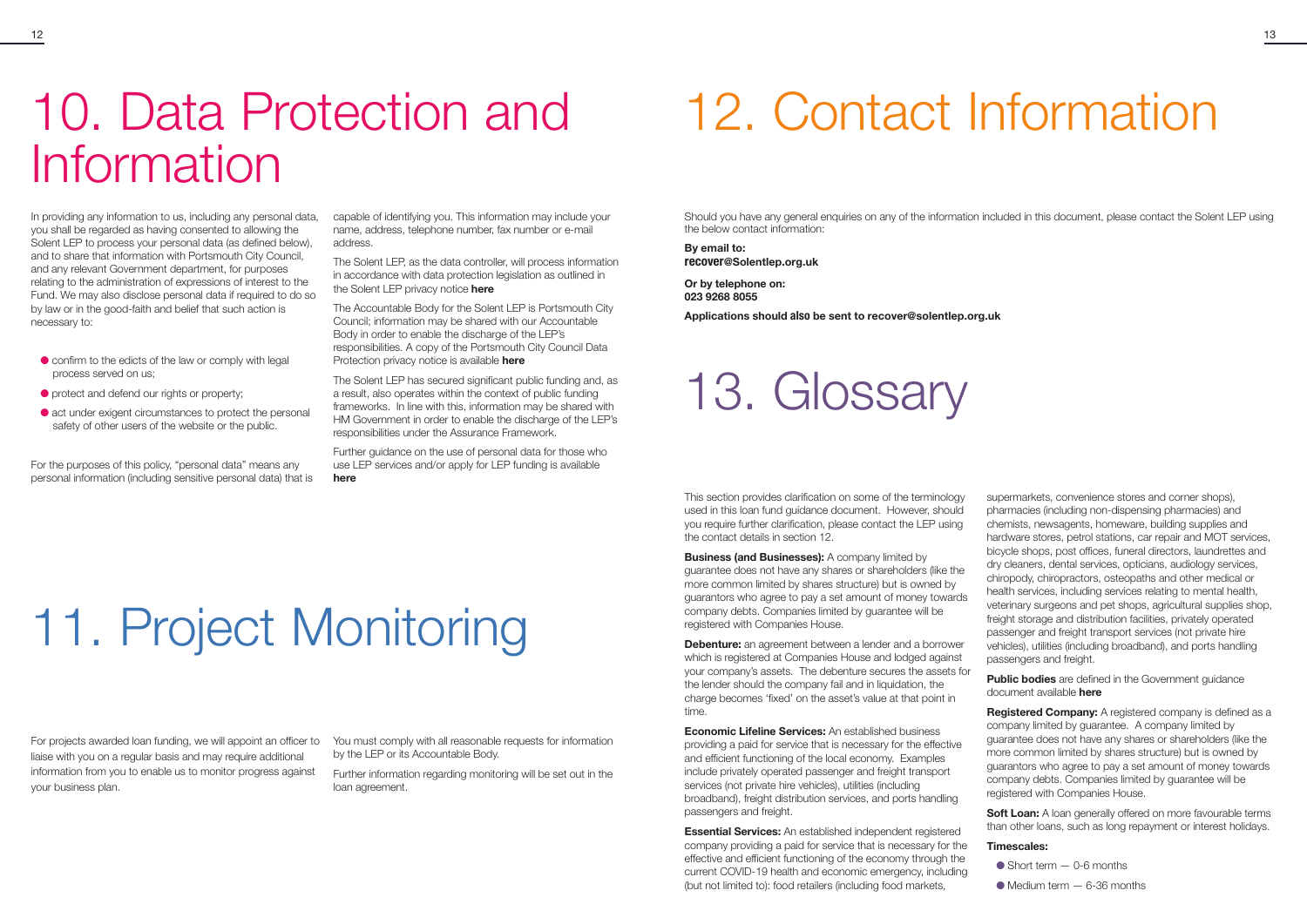## 12. Contact Information

Should you have any general enquiries on any of the information included in this document, please contact the Solent LEP using the below contact information:

**By email to:**  recover**@Solentlep.org.uk** 

**Or by telephone on: 023 9268 8055**

**Applications should** also **be sent to recover@solentlep.org.uk** 

### 13. Glossary

**Business (and Businesses):** A company limited by guarantee does not have any shares or shareholders (like the more common limited by shares structure) but is owned by guarantors who agree to pay a set amount of money towards company debts. Companies limited by guarantee will be registered with Companies House.

This section provides clarification on some of the terminology used in this loan fund guidance document. However, should you require further clarification, please contact the LEP using the contact details in section 12.

**Debenture:** an agreement between a lender and a borrower which is registered at Companies House and lodged against your company's assets. The debenture secures the assets for the lender should the company fail and in liquidation, the charge becomes 'fixed' on the asset's value at that point in time.

**Economic Lifeline Services:** An established business providing a paid for service that is necessary for the effective and efficient functioning of the local economy. Examples include privately operated passenger and freight transport services (not private hire vehicles), utilities (including broadband), freight distribution services, and ports handling passengers and freight.

**Soft Loan:** A loan generally offered on more favourable terms than other loans, such as long repayment or interest holidays.

**Essential Services:** An established independent registered company providing a paid for service that is necessary for the effective and efficient functioning of the economy through the current COVID-19 health and economic emergency, including (but not limited to): food retailers (including food markets,

- $\bullet$  confirm to the edicts of the law or comply with legal process served on us;
- $\bullet$  protect and defend our rights or property;
- l act under exigent circumstances to protect the personal safety of other users of the website or the public.

supermarkets, convenience stores and corner shops), pharmacies (including non-dispensing pharmacies) and chemists, newsagents, homeware, building supplies and hardware stores, petrol stations, car repair and MOT services, bicycle shops, post offices, funeral directors, laundrettes and dry cleaners, dental services, opticians, audiology services, chiropody, chiropractors, osteopaths and other medical or health services, including services relating to mental health, veterinary surgeons and pet shops, agricultural supplies shop, freight storage and distribution facilities, privately operated passenger and freight transport services (not private hire vehicles), utilities (including broadband), and ports handling passengers and freight.

**Public bodies** are defined in the Government guidance document available **[here](https://assets.publishing.service.gov.uk/government/uploads/system/uploads/attachment_data/file/519571/Classification-of-Public_Bodies-Guidance-for-Departments.pdf%20Guidance%20for%20Departments)**

**Registered Company:** A registered company is defined as a company limited by guarantee. A company limited by guarantee does not have any shares or shareholders (like the more common limited by shares structure) but is owned by guarantors who agree to pay a set amount of money towards company debts. Companies limited by guarantee will be registered with Companies House.

### **Timescales:**

- $\bullet$  Short term  $-$  0-6 months
- $\bullet$  Medium term  $-6$ -36 months

### 10. Data Protection and Information

# 11. Project Monitoring

In providing any information to us, including any personal data, you shall be regarded as having consented to allowing the Solent LEP to process your personal data (as defined below), and to share that information with Portsmouth City Council, and any relevant Government department, for purposes relating to the administration of expressions of interest to the Fund. We may also disclose personal data if required to do so by law or in the good-faith and belief that such action is necessary to:

For the purposes of this policy, "personal data" means any personal information (including sensitive personal data) that is capable of identifying you. This information may include your name, address, telephone number, fax number or e-mail address.

The Solent LEP, as the data controller, will process information in accordance with data protection legislation as outlined in the Solent LEP privacy notice **[here](https://solentlep.org.uk/data-protection-privacy-notice/)**

The Accountable Body for the Solent LEP is Portsmouth City Council; information may be shared with our Accountable Body in order to enable the discharge of the LEP's responsibilities. A copy of the Portsmouth City Council Data Protection privacy notice is available **[here](https://www.portsmouth.gov.uk/ext/the-council/data-protection-privacy-notice)**

The Solent LEP has secured significant public funding and, as a result, also operates within the context of public funding frameworks. In line with this, information may be shared with HM Government in order to enable the discharge of the LEP's responsibilities under the Assurance Framework.

Further guidance on the use of personal data for those who use LEP services and/or apply for LEP funding is available **[here](https://solentlep.org.uk/data-protection-privacy-notice)**

For projects awarded loan funding, we will appoint an officer to liaise with you on a regular basis and may require additional information from you to enable us to monitor progress against your business plan.

You must comply with all reasonable requests for information by the LEP or its Accountable Body.

Further information regarding monitoring will be set out in the loan agreement.